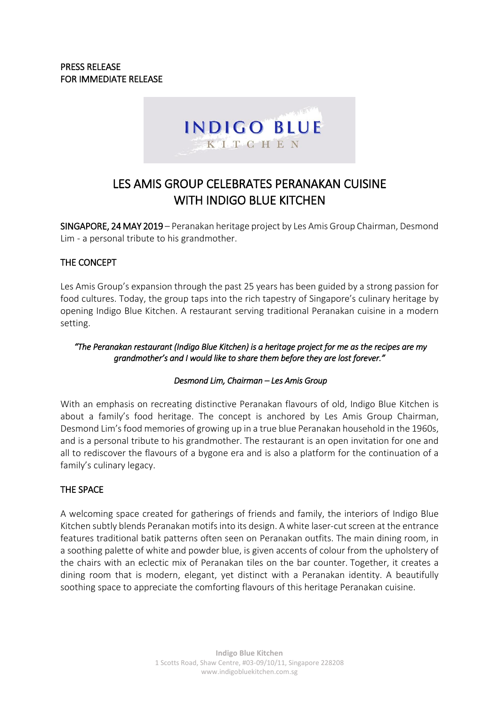

# LES AMIS GROUP CELEBRATES PERANAKAN CUISINE WITH INDIGO BLUE KITCHEN

SINGAPORE, 24 MAY 2019 – Peranakan heritage project by Les Amis Group Chairman, Desmond Lim - a personal tribute to his grandmother.

# THE CONCEPT

Les Amis Group's expansion through the past 25 years has been guided by a strong passion for food cultures. Today, the group taps into the rich tapestry of Singapore's culinary heritage by opening Indigo Blue Kitchen. A restaurant serving traditional Peranakan cuisine in a modern setting.

## *"The Peranakan restaurant (Indigo Blue Kitchen) is a heritage project for me as the recipes are my grandmother's and I would like to share them before they are lost forever."*

# *Desmond Lim, Chairman – Les Amis Group*

With an emphasis on recreating distinctive Peranakan flavours of old, Indigo Blue Kitchen is about a family's food heritage. The concept is anchored by Les Amis Group Chairman, Desmond Lim's food memories of growing up in a true blue Peranakan household in the 1960s, and is a personal tribute to his grandmother. The restaurant is an open invitation for one and all to rediscover the flavours of a bygone era and is also a platform for the continuation of a family's culinary legacy.

# THE SPACE

A welcoming space created for gatherings of friends and family, the interiors of Indigo Blue Kitchen subtly blends Peranakan motifs into its design. A white laser-cut screen at the entrance features traditional batik patterns often seen on Peranakan outfits. The main dining room, in a soothing palette of white and powder blue, is given accents of colour from the upholstery of the chairs with an eclectic mix of Peranakan tiles on the bar counter. Together, it creates a dining room that is modern, elegant, yet distinct with a Peranakan identity. A beautifully soothing space to appreciate the comforting flavours of this heritage Peranakan cuisine.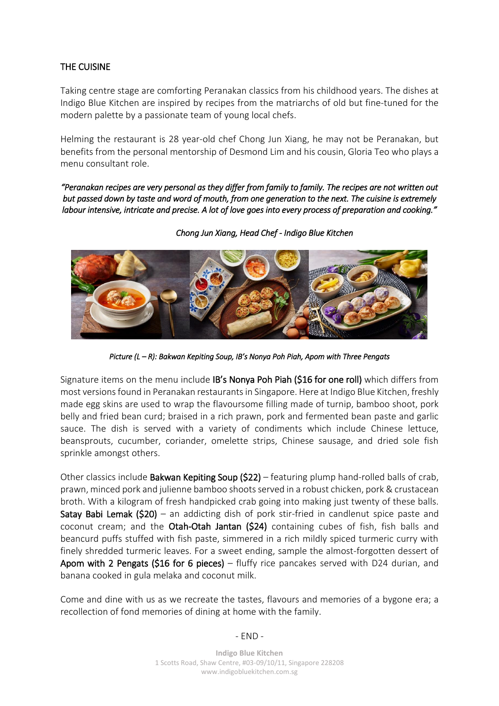# THE CUISINE

Taking centre stage are comforting Peranakan classics from his childhood years. The dishes at Indigo Blue Kitchen are inspired by recipes from the matriarchs of old but fine-tuned for the modern palette by a passionate team of young local chefs.

Helming the restaurant is 28 year-old chef Chong Jun Xiang, he may not be Peranakan, but benefits from the personal mentorship of Desmond Lim and his cousin, Gloria Teo who plays a menu consultant role.

*"Peranakan recipes are very personal as they differ from family to family. The recipes are not written out but passed down by taste and word of mouth, from one generation to the next. The cuisine is extremely labour intensive, intricate and precise. A lot of love goes into every process of preparation and cooking."* 



*Chong Jun Xiang, Head Chef - Indigo Blue Kitchen* 

*Picture (L – R): Bakwan Kepiting Soup, IB's Nonya Poh Piah, Apom with Three Pengats* 

Signature items on the menu include IB's Nonya Poh Piah (\$16 for one roll) which differs from most versions found in Peranakan restaurants in Singapore. Here at Indigo Blue Kitchen, freshly made egg skins are used to wrap the flavoursome filling made of turnip, bamboo shoot, pork belly and fried bean curd; braised in a rich prawn, pork and fermented bean paste and garlic sauce. The dish is served with a variety of condiments which include Chinese lettuce, beansprouts, cucumber, coriander, omelette strips, Chinese sausage, and dried sole fish sprinkle amongst others.

Other classics include **Bakwan Kepiting Soup (\$22)** – featuring plump hand-rolled balls of crab, prawn, minced pork and julienne bamboo shootsserved in a robust chicken, pork & crustacean broth. With a kilogram of fresh handpicked crab going into making just twenty of these balls. Satay Babi Lemak (\$20) – an addicting dish of pork stir-fried in candlenut spice paste and coconut cream; and the Otah-Otah Jantan (\$24) containing cubes of fish, fish balls and beancurd puffs stuffed with fish paste, simmered in a rich mildly spiced turmeric curry with finely shredded turmeric leaves. For a sweet ending, sample the almost-forgotten dessert of Apom with 2 Pengats (\$16 for 6 pieces) – fluffy rice pancakes served with D24 durian, and banana cooked in gula melaka and coconut milk.

Come and dine with us as we recreate the tastes, flavours and memories of a bygone era; a recollection of fond memories of dining at home with the family.

## - END -

**Indigo Blue Kitchen** 1 Scotts Road, Shaw Centre, #03-09/10/11, Singapore 228208 www.indigobluekitchen.com.sg